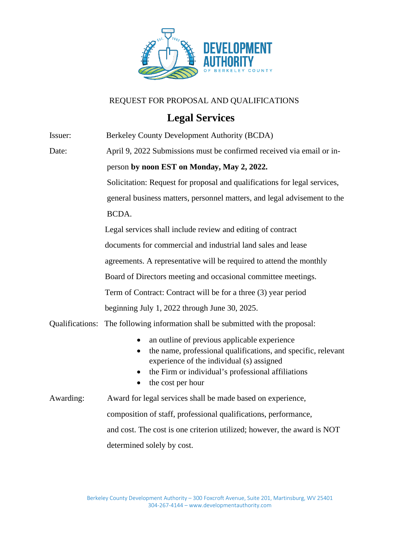

## REQUEST FOR PROPOSAL AND QUALIFICATIONS

## **Legal Services**

| Issuer:                | Berkeley County Development Authority (BCDA)                                                                                                                                                                                          |
|------------------------|---------------------------------------------------------------------------------------------------------------------------------------------------------------------------------------------------------------------------------------|
| Date:                  | April 9, 2022 Submissions must be confirmed received via email or in-                                                                                                                                                                 |
|                        | person by noon EST on Monday, May 2, 2022.                                                                                                                                                                                            |
|                        | Solicitation: Request for proposal and qualifications for legal services,                                                                                                                                                             |
|                        | general business matters, personnel matters, and legal advisement to the                                                                                                                                                              |
|                        | BCDA.                                                                                                                                                                                                                                 |
|                        | Legal services shall include review and editing of contract                                                                                                                                                                           |
|                        | documents for commercial and industrial land sales and lease                                                                                                                                                                          |
|                        | agreements. A representative will be required to attend the monthly                                                                                                                                                                   |
|                        | Board of Directors meeting and occasional committee meetings.                                                                                                                                                                         |
|                        | Term of Contract: Contract will be for a three (3) year period                                                                                                                                                                        |
|                        | beginning July 1, 2022 through June 30, 2025.                                                                                                                                                                                         |
| <b>Qualifications:</b> | The following information shall be submitted with the proposal:                                                                                                                                                                       |
|                        | an outline of previous applicable experience<br>the name, professional qualifications, and specific, relevant<br>experience of the individual (s) assigned<br>the Firm or individual's professional affiliations<br>the cost per hour |
| Awarding:              | Award for legal services shall be made based on experience,                                                                                                                                                                           |
|                        | composition of staff, professional qualifications, performance,                                                                                                                                                                       |
|                        | and cost. The cost is one criterion utilized; however, the award is NOT                                                                                                                                                               |
|                        | determined solely by cost.                                                                                                                                                                                                            |